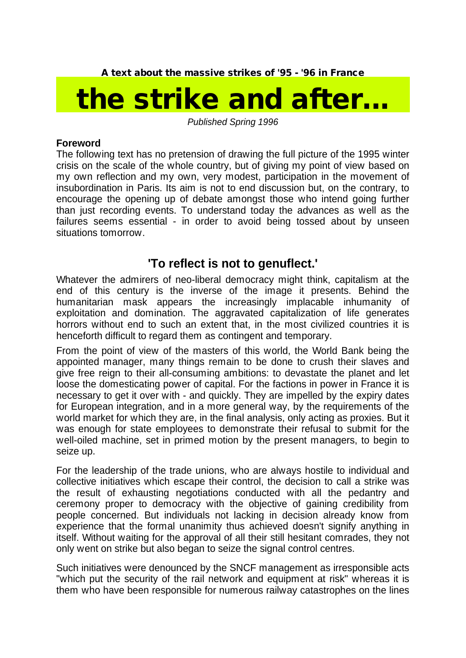**A text about the massive strikes of '95 - '96 in France**

## *the strike and after...*

*Published Spring 1996*

## **Foreword**

The following text has no pretension of drawing the full picture of the 1995 winter crisis on the scale of the whole country, but of giving my point of view based on my own reflection and my own, very modest, participation in the movement of insubordination in Paris. Its aim is not to end discussion but, on the contrary, to encourage the opening up of debate amongst those who intend going further than just recording events. To understand today the advances as well as the failures seems essential - in order to avoid being tossed about by unseen situations tomorrow.

## **'To reflect is not to genuflect.'**

Whatever the admirers of neo-liberal democracy might think, capitalism at the end of this century is the inverse of the image it presents. Behind the humanitarian mask appears the increasingly implacable inhumanity of exploitation and domination. The aggravated capitalization of life generates horrors without end to such an extent that, in the most civilized countries it is henceforth difficult to regard them as contingent and temporary.

From the point of view of the masters of this world, the World Bank being the appointed manager, many things remain to be done to crush their slaves and give free reign to their all-consuming ambitions: to devastate the planet and let loose the domesticating power of capital. For the factions in power in France it is necessary to get it over with - and quickly. They are impelled by the expiry dates for European integration, and in a more general way, by the requirements of the world market for which they are, in the final analysis, only acting as proxies. But it was enough for state employees to demonstrate their refusal to submit for the well-oiled machine, set in primed motion by the present managers, to begin to seize up.

For the leadership of the trade unions, who are always hostile to individual and collective initiatives which escape their control, the decision to call a strike was the result of exhausting negotiations conducted with all the pedantry and ceremony proper to democracy with the objective of gaining credibility from people concerned. But individuals not lacking in decision already know from experience that the formal unanimity thus achieved doesn't signify anything in itself. Without waiting for the approval of all their still hesitant comrades, they not only went on strike but also began to seize the signal control centres.

Such initiatives were denounced by the SNCF management as irresponsible acts "which put the security of the rail network and equipment at risk" whereas it is them who have been responsible for numerous railway catastrophes on the lines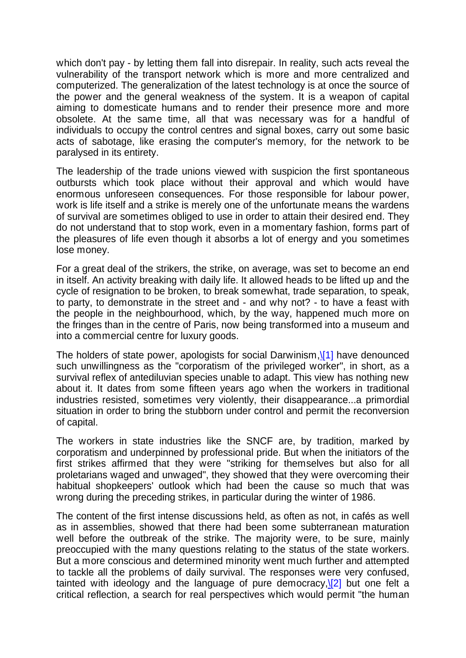which don't pay - by letting them fall into disrepair. In reality, such acts reveal the vulnerability of the transport network which is more and more centralized and computerized. The generalization of the latest technology is at once the source of the power and the general weakness of the system. It is a weapon of capital aiming to domesticate humans and to render their presence more and more obsolete. At the same time, all that was necessary was for a handful of individuals to occupy the control centres and signal boxes, carry out some basic acts of sabotage, like erasing the computer's memory, for the network to be paralysed in its entirety.

The leadership of the trade unions viewed with suspicion the first spontaneous outbursts which took place without their approval and which would have enormous unforeseen consequences. For those responsible for labour power, work is life itself and a strike is merely one of the unfortunate means the wardens of survival are sometimes obliged to use in order to attain their desired end. They do not understand that to stop work, even in a momentary fashion, forms part of the pleasures of life even though it absorbs a lot of energy and you sometimes lose money.

For a great deal of the strikers, the strike, on average, was set to become an end in itself. An activity breaking with daily life. It allowed heads to be lifted up and the cycle of resignation to be broken, to break somewhat, trade separation, to speak, to party, to demonstrate in the street and - and why not? - to have a feast with the people in the neighbourhood, which, by the way, happened much more on the fringes than in the centre of Paris, now being transformed into a museum and into a commercial centre for luxury goods.

The holders of state power, apologists for social Darwinism,[\\[1\]](file:///G:\\\\site\\\\Strike%2095%20and%20after.html) have denounced such unwillingness as the "corporatism of the privileged worker", in short, as a survival reflex of antediluvian species unable to adapt. This view has nothing new about it. It dates from some fifteen years ago when the workers in traditional industries resisted, sometimes very violently, their disappearance...a primordial situation in order to bring the stubborn under control and permit the reconversion of capital.

The workers in state industries like the SNCF are, by tradition, marked by corporatism and underpinned by professional pride. But when the initiators of the first strikes affirmed that they were "striking for themselves but also for all proletarians waged and unwaged", they showed that they were overcoming their habitual shopkeepers' outlook which had been the cause so much that was wrong during the preceding strikes, in particular during the winter of 1986.

The content of the first intense discussions held, as often as not, in cafés as well as in assemblies, showed that there had been some subterranean maturation well before the outbreak of the strike. The majority were, to be sure, mainly preoccupied with the many questions relating to the status of the state workers. But a more conscious and determined minority went much further and attempted to tackle all the problems of daily survival. The responses were very confused, tainted with ideology and the language of pure democracy, $[2]$  but one felt a critical reflection, a search for real perspectives which would permit "the human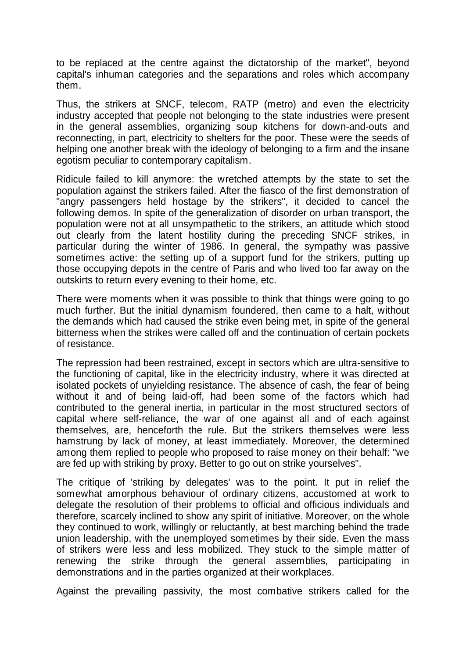to be replaced at the centre against the dictatorship of the market", beyond capital's inhuman categories and the separations and roles which accompany them.

Thus, the strikers at SNCF, telecom, RATP (metro) and even the electricity industry accepted that people not belonging to the state industries were present in the general assemblies, organizing soup kitchens for down-and-outs and reconnecting, in part, electricity to shelters for the poor. These were the seeds of helping one another break with the ideology of belonging to a firm and the insane egotism peculiar to contemporary capitalism.

Ridicule failed to kill anymore: the wretched attempts by the state to set the population against the strikers failed. After the fiasco of the first demonstration of "angry passengers held hostage by the strikers", it decided to cancel the following demos. In spite of the generalization of disorder on urban transport, the population were not at all unsympathetic to the strikers, an attitude which stood out clearly from the latent hostility during the preceding SNCF strikes, in particular during the winter of 1986. In general, the sympathy was passive sometimes active: the setting up of a support fund for the strikers, putting up those occupying depots in the centre of Paris and who lived too far away on the outskirts to return every evening to their home, etc.

There were moments when it was possible to think that things were going to go much further. But the initial dynamism foundered, then came to a halt, without the demands which had caused the strike even being met, in spite of the general bitterness when the strikes were called off and the continuation of certain pockets of resistance.

The repression had been restrained, except in sectors which are ultra-sensitive to the functioning of capital, like in the electricity industry, where it was directed at isolated pockets of unyielding resistance. The absence of cash, the fear of being without it and of being laid-off, had been some of the factors which had contributed to the general inertia, in particular in the most structured sectors of capital where self-reliance, the war of one against all and of each against themselves, are, henceforth the rule. But the strikers themselves were less hamstrung by lack of money, at least immediately. Moreover, the determined among them replied to people who proposed to raise money on their behalf: "we are fed up with striking by proxy. Better to go out on strike yourselves".

The critique of 'striking by delegates' was to the point. It put in relief the somewhat amorphous behaviour of ordinary citizens, accustomed at work to delegate the resolution of their problems to official and officious individuals and therefore, scarcely inclined to show any spirit of initiative. Moreover, on the whole they continued to work, willingly or reluctantly, at best marching behind the trade union leadership, with the unemployed sometimes by their side. Even the mass of strikers were less and less mobilized. They stuck to the simple matter of renewing the strike through the general assemblies, participating in demonstrations and in the parties organized at their workplaces.

Against the prevailing passivity, the most combative strikers called for the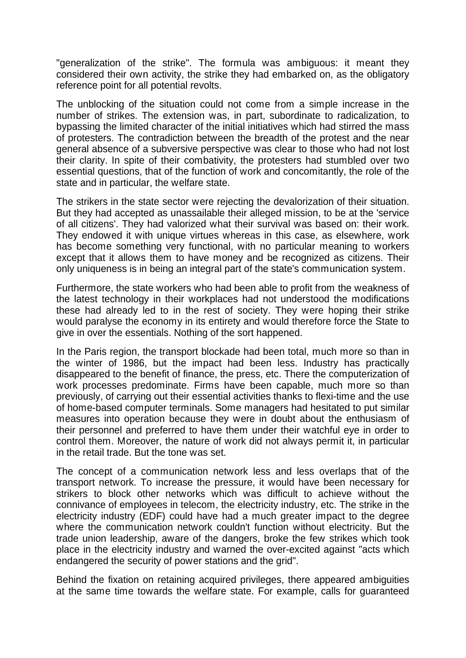"generalization of the strike". The formula was ambiguous: it meant they considered their own activity, the strike they had embarked on, as the obligatory reference point for all potential revolts.

The unblocking of the situation could not come from a simple increase in the number of strikes. The extension was, in part, subordinate to radicalization, to bypassing the limited character of the initial initiatives which had stirred the mass of protesters. The contradiction between the breadth of the protest and the near general absence of a subversive perspective was clear to those who had not lost their clarity. In spite of their combativity, the protesters had stumbled over two essential questions, that of the function of work and concomitantly, the role of the state and in particular, the welfare state.

The strikers in the state sector were rejecting the devalorization of their situation. But they had accepted as unassailable their alleged mission, to be at the 'service of all citizens'. They had valorized what their survival was based on: their work. They endowed it with unique virtues whereas in this case, as elsewhere, work has become something very functional, with no particular meaning to workers except that it allows them to have money and be recognized as citizens. Their only uniqueness is in being an integral part of the state's communication system.

Furthermore, the state workers who had been able to profit from the weakness of the latest technology in their workplaces had not understood the modifications these had already led to in the rest of society. They were hoping their strike would paralyse the economy in its entirety and would therefore force the State to give in over the essentials. Nothing of the sort happened.

In the Paris region, the transport blockade had been total, much more so than in the winter of 1986, but the impact had been less. Industry has practically disappeared to the benefit of finance, the press, etc. There the computerization of work processes predominate. Firms have been capable, much more so than previously, of carrying out their essential activities thanks to flexi-time and the use of home-based computer terminals. Some managers had hesitated to put similar measures into operation because they were in doubt about the enthusiasm of their personnel and preferred to have them under their watchful eye in order to control them. Moreover, the nature of work did not always permit it, in particular in the retail trade. But the tone was set.

The concept of a communication network less and less overlaps that of the transport network. To increase the pressure, it would have been necessary for strikers to block other networks which was difficult to achieve without the connivance of employees in telecom, the electricity industry, etc. The strike in the electricity industry (EDF) could have had a much greater impact to the degree where the communication network couldn't function without electricity. But the trade union leadership, aware of the dangers, broke the few strikes which took place in the electricity industry and warned the over-excited against "acts which endangered the security of power stations and the grid".

Behind the fixation on retaining acquired privileges, there appeared ambiguities at the same time towards the welfare state. For example, calls for guaranteed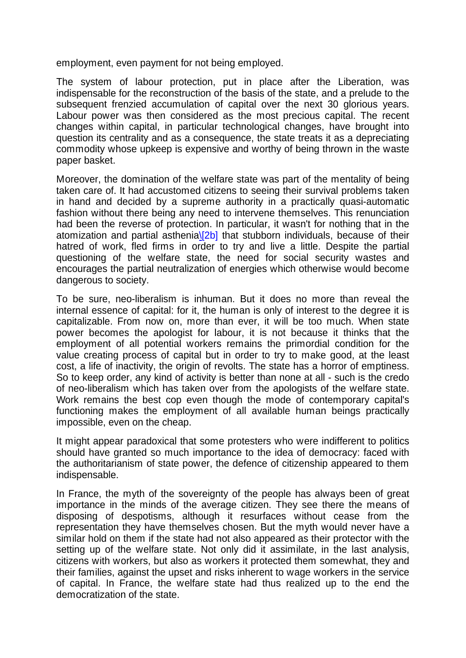employment, even payment for not being employed.

The system of labour protection, put in place after the Liberation, was indispensable for the reconstruction of the basis of the state, and a prelude to the subsequent frenzied accumulation of capital over the next 30 glorious years. Labour power was then considered as the most precious capital. The recent changes within capital, in particular technological changes, have brought into question its centrality and as a consequence, the state treats it as a depreciating commodity whose upkeep is expensive and worthy of being thrown in the waste paper basket.

Moreover, the domination of the welfare state was part of the mentality of being taken care of. It had accustomed citizens to seeing their survival problems taken in hand and decided by a supreme authority in a practically quasi-automatic fashion without there being any need to intervene themselves. This renunciation had been the reverse of protection. In particular, it wasn't for nothing that in the atomization and partial asthenia $\Sigma$ b] that stubborn individuals, because of their hatred of work, fled firms in order to try and live a little. Despite the partial questioning of the welfare state, the need for social security wastes and encourages the partial neutralization of energies which otherwise would become dangerous to society.

To be sure, neo-liberalism is inhuman. But it does no more than reveal the internal essence of capital: for it, the human is only of interest to the degree it is capitalizable. From now on, more than ever, it will be too much. When state power becomes the apologist for labour, it is not because it thinks that the employment of all potential workers remains the primordial condition for the value creating process of capital but in order to try to make good, at the least cost, a life of inactivity, the origin of revolts. The state has a horror of emptiness. So to keep order, any kind of activity is better than none at all - such is the credo of neo-liberalism which has taken over from the apologists of the welfare state. Work remains the best cop even though the mode of contemporary capital's functioning makes the employment of all available human beings practically impossible, even on the cheap.

It might appear paradoxical that some protesters who were indifferent to politics should have granted so much importance to the idea of democracy: faced with the authoritarianism of state power, the defence of citizenship appeared to them indispensable.

In France, the myth of the sovereignty of the people has always been of great importance in the minds of the average citizen. They see there the means of disposing of despotisms, although it resurfaces without cease from the representation they have themselves chosen. But the myth would never have a similar hold on them if the state had not also appeared as their protector with the setting up of the welfare state. Not only did it assimilate, in the last analysis, citizens with workers, but also as workers it protected them somewhat, they and their families, against the upset and risks inherent to wage workers in the service of capital. In France, the welfare state had thus realized up to the end the democratization of the state.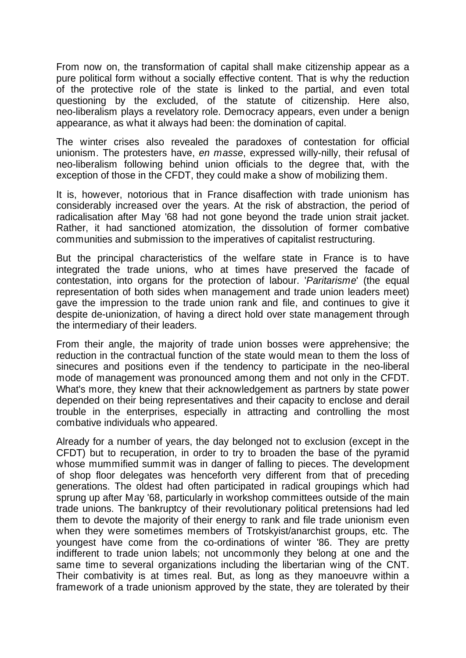From now on, the transformation of capital shall make citizenship appear as a pure political form without a socially effective content. That is why the reduction of the protective role of the state is linked to the partial, and even total questioning by the excluded, of the statute of citizenship. Here also, neo-liberalism plays a revelatory role. Democracy appears, even under a benign appearance, as what it always had been: the domination of capital.

The winter crises also revealed the paradoxes of contestation for official unionism. The protesters have, *en masse*, expressed willy-nilly, their refusal of neo-liberalism following behind union officials to the degree that, with the exception of those in the CFDT, they could make a show of mobilizing them.

It is, however, notorious that in France disaffection with trade unionism has considerably increased over the years. At the risk of abstraction, the period of radicalisation after May '68 had not gone beyond the trade union strait jacket. Rather, it had sanctioned atomization, the dissolution of former combative communities and submission to the imperatives of capitalist restructuring.

But the principal characteristics of the welfare state in France is to have integrated the trade unions, who at times have preserved the facade of contestation, into organs for the protection of labour. '*Paritarisme*' (the equal representation of both sides when management and trade union leaders meet) gave the impression to the trade union rank and file, and continues to give it despite de-unionization, of having a direct hold over state management through the intermediary of their leaders.

From their angle, the majority of trade union bosses were apprehensive; the reduction in the contractual function of the state would mean to them the loss of sinecures and positions even if the tendency to participate in the neo-liberal mode of management was pronounced among them and not only in the CFDT. What's more, they knew that their acknowledgement as partners by state power depended on their being representatives and their capacity to enclose and derail trouble in the enterprises, especially in attracting and controlling the most combative individuals who appeared.

Already for a number of years, the day belonged not to exclusion (except in the CFDT) but to recuperation, in order to try to broaden the base of the pyramid whose mummified summit was in danger of falling to pieces. The development of shop floor delegates was henceforth very different from that of preceding generations. The oldest had often participated in radical groupings which had sprung up after May '68, particularly in workshop committees outside of the main trade unions. The bankruptcy of their revolutionary political pretensions had led them to devote the majority of their energy to rank and file trade unionism even when they were sometimes members of Trotskyist/anarchist groups, etc. The youngest have come from the co-ordinations of winter '86. They are pretty indifferent to trade union labels; not uncommonly they belong at one and the same time to several organizations including the libertarian wing of the CNT. Their combativity is at times real. But, as long as they manoeuvre within a framework of a trade unionism approved by the state, they are tolerated by their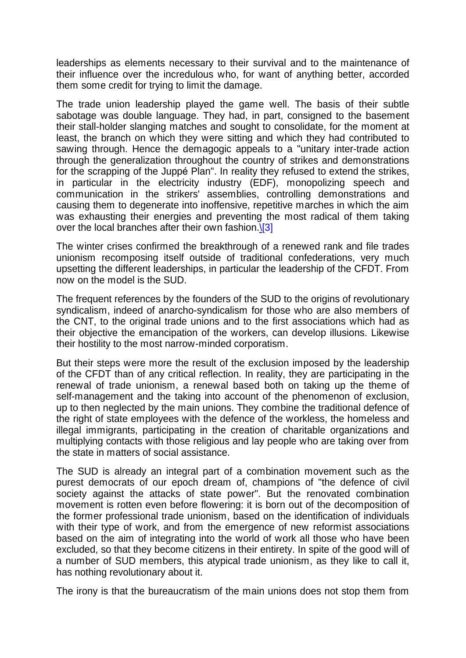leaderships as elements necessary to their survival and to the maintenance of their influence over the incredulous who, for want of anything better, accorded them some credit for trying to limit the damage.

The trade union leadership played the game well. The basis of their subtle sabotage was double language. They had, in part, consigned to the basement their stall-holder slanging matches and sought to consolidate, for the moment at least, the branch on which they were sitting and which they had contributed to sawing through. Hence the demagogic appeals to a "unitary inter-trade action through the generalization throughout the country of strikes and demonstrations for the scrapping of the Juppé Plan". In reality they refused to extend the strikes, in particular in the electricity industry (EDF), monopolizing speech and communication in the strikers' assemblies, controlling demonstrations and causing them to degenerate into inoffensive, repetitive marches in which the aim was exhausting their energies and preventing the most radical of them taking over the local branches after their own fashion. $[3]$ 

The winter crises confirmed the breakthrough of a renewed rank and file trades unionism recomposing itself outside of traditional confederations, very much upsetting the different leaderships, in particular the leadership of the CFDT. From now on the model is the SUD.

The frequent references by the founders of the SUD to the origins of revolutionary syndicalism, indeed of anarcho-syndicalism for those who are also members of the CNT, to the original trade unions and to the first associations which had as their objective the emancipation of the workers, can develop illusions. Likewise their hostility to the most narrow-minded corporatism.

But their steps were more the result of the exclusion imposed by the leadership of the CFDT than of any critical reflection. In reality, they are participating in the renewal of trade unionism, a renewal based both on taking up the theme of self-management and the taking into account of the phenomenon of exclusion, up to then neglected by the main unions. They combine the traditional defence of the right of state employees with the defence of the workless, the homeless and illegal immigrants, participating in the creation of charitable organizations and multiplying contacts with those religious and lay people who are taking over from the state in matters of social assistance.

The SUD is already an integral part of a combination movement such as the purest democrats of our epoch dream of, champions of "the defence of civil society against the attacks of state power". But the renovated combination movement is rotten even before flowering: it is born out of the decomposition of the former professional trade unionism, based on the identification of individuals with their type of work, and from the emergence of new reformist associations based on the aim of integrating into the world of work all those who have been excluded, so that they become citizens in their entirety. In spite of the good will of a number of SUD members, this atypical trade unionism, as they like to call it, has nothing revolutionary about it.

The irony is that the bureaucratism of the main unions does not stop them from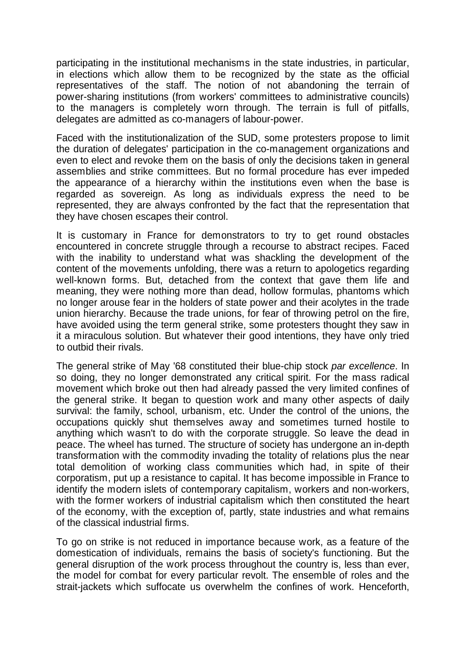participating in the institutional mechanisms in the state industries, in particular, in elections which allow them to be recognized by the state as the official representatives of the staff. The notion of not abandoning the terrain of power-sharing institutions (from workers' committees to administrative councils) to the managers is completely worn through. The terrain is full of pitfalls, delegates are admitted as co-managers of labour-power.

Faced with the institutionalization of the SUD, some protesters propose to limit the duration of delegates' participation in the co-management organizations and even to elect and revoke them on the basis of only the decisions taken in general assemblies and strike committees. But no formal procedure has ever impeded the appearance of a hierarchy within the institutions even when the base is regarded as sovereign. As long as individuals express the need to be represented, they are always confronted by the fact that the representation that they have chosen escapes their control.

It is customary in France for demonstrators to try to get round obstacles encountered in concrete struggle through a recourse to abstract recipes. Faced with the inability to understand what was shackling the development of the content of the movements unfolding, there was a return to apologetics regarding well-known forms. But, detached from the context that gave them life and meaning, they were nothing more than dead, hollow formulas, phantoms which no longer arouse fear in the holders of state power and their acolytes in the trade union hierarchy. Because the trade unions, for fear of throwing petrol on the fire, have avoided using the term general strike, some protesters thought they saw in it a miraculous solution. But whatever their good intentions, they have only tried to outbid their rivals.

The general strike of May '68 constituted their blue-chip stock *par excellence*. In so doing, they no longer demonstrated any critical spirit. For the mass radical movement which broke out then had already passed the very limited confines of the general strike. It began to question work and many other aspects of daily survival: the family, school, urbanism, etc. Under the control of the unions, the occupations quickly shut themselves away and sometimes turned hostile to anything which wasn't to do with the corporate struggle. So leave the dead in peace. The wheel has turned. The structure of society has undergone an in-depth transformation with the commodity invading the totality of relations plus the near total demolition of working class communities which had, in spite of their corporatism, put up a resistance to capital. It has become impossible in France to identify the modern islets of contemporary capitalism, workers and non-workers, with the former workers of industrial capitalism which then constituted the heart of the economy, with the exception of, partly, state industries and what remains of the classical industrial firms.

To go on strike is not reduced in importance because work, as a feature of the domestication of individuals, remains the basis of society's functioning. But the general disruption of the work process throughout the country is, less than ever, the model for combat for every particular revolt. The ensemble of roles and the strait-jackets which suffocate us overwhelm the confines of work. Henceforth,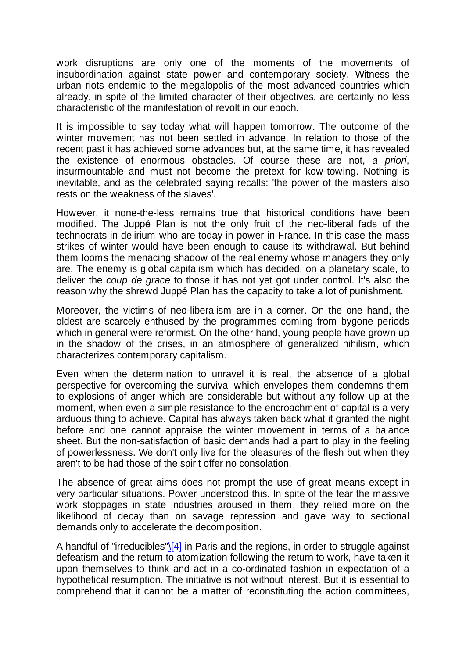work disruptions are only one of the moments of the movements of insubordination against state power and contemporary society. Witness the urban riots endemic to the megalopolis of the most advanced countries which already, in spite of the limited character of their objectives, are certainly no less characteristic of the manifestation of revolt in our epoch.

It is impossible to say today what will happen tomorrow. The outcome of the winter movement has not been settled in advance. In relation to those of the recent past it has achieved some advances but, at the same time, it has revealed the existence of enormous obstacles. Of course these are not, *a priori*, insurmountable and must not become the pretext for kow-towing. Nothing is inevitable, and as the celebrated saying recalls: 'the power of the masters also rests on the weakness of the slaves'.

However, it none-the-less remains true that historical conditions have been modified. The Juppé Plan is not the only fruit of the neo-liberal fads of the technocrats in delirium who are today in power in France. In this case the mass strikes of winter would have been enough to cause its withdrawal. But behind them looms the menacing shadow of the real enemy whose managers they only are. The enemy is global capitalism which has decided, on a planetary scale, to deliver the *coup de grace* to those it has not yet got under control. It's also the reason why the shrewd Juppé Plan has the capacity to take a lot of punishment.

Moreover, the victims of neo-liberalism are in a corner. On the one hand, the oldest are scarcely enthused by the programmes coming from bygone periods which in general were reformist. On the other hand, young people have grown up in the shadow of the crises, in an atmosphere of generalized nihilism, which characterizes contemporary capitalism.

Even when the determination to unravel it is real, the absence of a global perspective for overcoming the survival which envelopes them condemns them to explosions of anger which are considerable but without any follow up at the moment, when even a simple resistance to the encroachment of capital is a very arduous thing to achieve. Capital has always taken back what it granted the night before and one cannot appraise the winter movement in terms of a balance sheet. But the non-satisfaction of basic demands had a part to play in the feeling of powerlessness. We don't only live for the pleasures of the flesh but when they aren't to be had those of the spirit offer no consolation.

The absence of great aims does not prompt the use of great means except in very particular situations. Power understood this. In spite of the fear the massive work stoppages in state industries aroused in them, they relied more on the likelihood of decay than on savage repression and gave way to sectional demands only to accelerate the decomposition.

A handful of "irreducibles" $\sqrt{4}$  in Paris and the regions, in order to struggle against defeatism and the return to atomization following the return to work, have taken it upon themselves to think and act in a co-ordinated fashion in expectation of a hypothetical resumption. The initiative is not without interest. But it is essential to comprehend that it cannot be a matter of reconstituting the action committees,